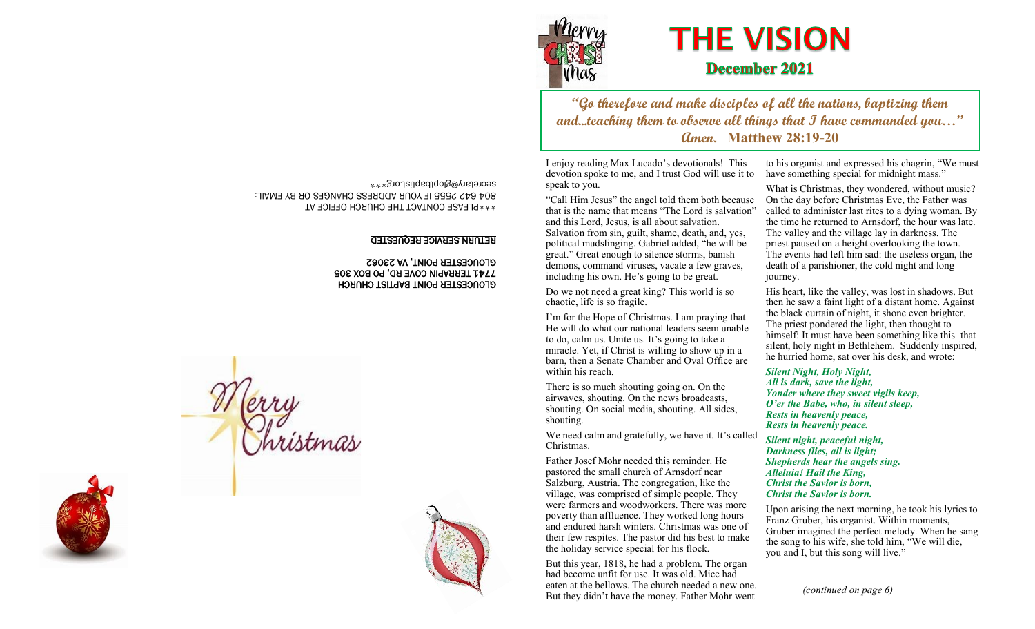

# **THE VISION December 2021**

**"Go therefore and make disciples of all the nations, baptizing them and...teaching them to observe all things that I have commanded you…" Amen. Matthew 28:19-20**

I enjoy reading Max Lucado's devotionals! This devotion spoke to me, and I trust God will use it to speak to you.

"Call Him Jesus" the angel told them both because that is the name that means "The Lord is salvation" and this Lord, Jesus, is all about salvation. Salvation from sin, guilt, shame, death, and, yes, political mudslinging. Gabriel added, "he will be great." Great enough to silence storms, banish demons, command viruses, vacate a few graves, including his own. He's going to be great.

Do we not need a great king? This world is so chaotic, life is so fragile.

I'm for the Hope of Christmas. I am praying that He will do what our national leaders seem unable to do, calm us. Unite us. It's going to take a miracle. Yet, if Christ is willing to show up in a barn, then a Senate Chamber and Oval Office are within his reach.

There is so much shouting going on. On the airwaves, shouting. On the news broadcasts, shouting. On social media, shouting. All sides, shouting.

We need calm and gratefully, we have it. It's called Christmas.

Father Josef Mohr needed this reminder. He pastored the small church of Arnsdorf near Salzburg, Austria. The congregation, like the village, was comprised of simple people. They were farmers and woodworkers. There was more poverty than affluence. They worked long hours and endured harsh winters. Christmas was one of their few respites. The pastor did his best to make the holiday service special for his flock.

But this year, 1818, he had a problem. The organ had become unfit for use. It was old. Mice had eaten at the bellows. The church needed a new one. But they didn't have the money. Father Mohr went

to his organist and expressed his chagrin, "We must have something special for midnight mass."

What is Christmas, they wondered, without music? On the day before Christmas Eve, the Father was called to administer last rites to a dying woman. By the time he returned to Arnsdorf, the hour was late. The valley and the village lay in darkness. The priest paused on a height overlooking the town. The events had left him sad: the useless organ, the death of a parishioner, the cold night and long journey.

His heart, like the valley, was lost in shadows. But then he saw a faint light of a distant home. Against the black curtain of night, it shone even brighter. The priest pondered the light, then thought to himself: It must have been something like this–that silent, holy night in Bethlehem. Suddenly inspired, he hurried home, sat over his desk, and wrote:

*Silent Night, Holy Night, All is dark, save the light, Yonder where they sweet vigils keep, O'er the Babe, who, in silent sleep, Rests in heavenly peace, Rests in heavenly peace.*

*Silent night, peaceful night, Darkness flies, all is light; Shepherds hear the angels sing. Alleluia! Hail the King, Christ the Savior is born, Christ the Savior is born.*

Upon arising the next morning, he took his lyrics to Franz Gruber, his organist. Within moments, Gruber imagined the perfect melody. When he sang the song to his wife, she told him, "We will die, you and I, but this song will live."

*(continued on page 6)*

\*\*\*PLEASE CONTACT THE CHURCH OFFICE AT 2555 IF YOUR ADDRESS CHANGES OR BY EMAIL: - 642 - 804 secretary@gloptbaptist.org\*\*\*

### RETURN SERVICE REQUESTED

#### GLOUCESTER POINT BAPTIST CHURCH 7741 TERRAPIN COVE RD, PO BOX 305 GLOUCESTER POINT, VA 23062

Merry

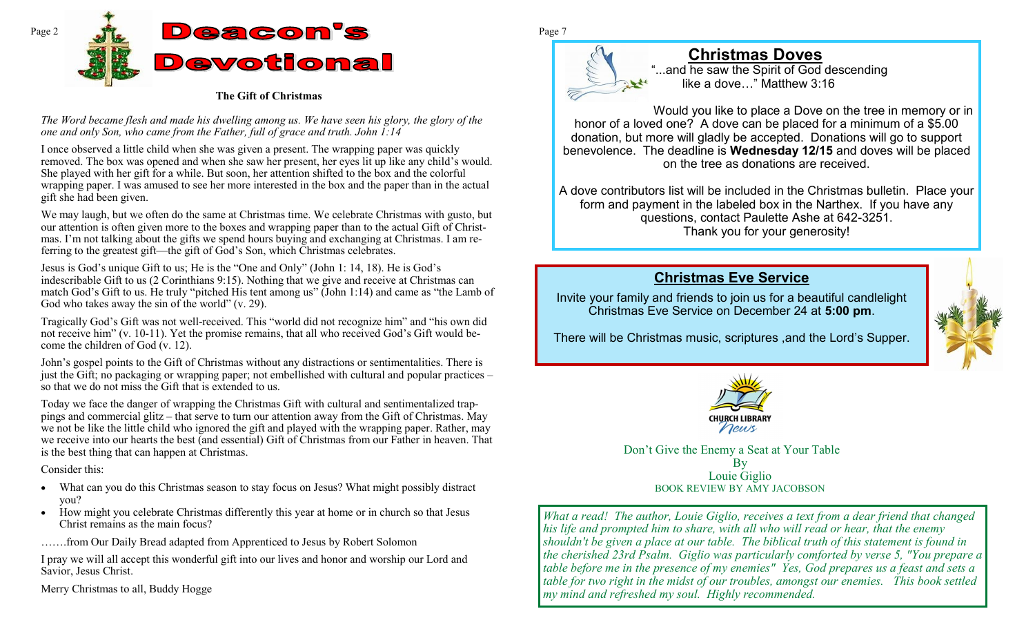

#### **The Gift of Christmas**

*The Word became flesh and made his dwelling among us. We have seen his glory, the glory of the one and only Son, who came from the Father, full of grace and truth. John 1:14* 

I once observed a little child when she was given a present. The wrapping paper was quickly removed. The box was opened and when she saw her present, her eyes lit up like any child's would. She played with her gift for a while. But soon, her attention shifted to the box and the colorful wrapping paper. I was amused to see her more interested in the box and the paper than in the actual gift she had been given.

We may laugh, but we often do the same at Christmas time. We celebrate Christmas with gusto, but our attention is often given more to the boxes and wrapping paper than to the actual Gift of Christmas. I'm not talking about the gifts we spend hours buying and exchanging at Christmas. I am referring to the greatest gift—the gift of God's Son, which Christmas celebrates.

Jesus is God's unique Gift to us; He is the "One and Only" (John 1: 14, 18). He is God's indescribable Gift to us (2 Corinthians 9:15). Nothing that we give and receive at Christmas can match God's Gift to us. He truly "pitched His tent among us" (John 1:14) and came as "the Lamb of God who takes away the sin of the world" (v. 29).

Tragically God's Gift was not well-received. This "world did not recognize him" and "his own did not receive him" (v. 10-11). Yet the promise remains, that all who received God's Gift would become the children of God (v. 12).

John's gospel points to the Gift of Christmas without any distractions or sentimentalities. There is just the Gift; no packaging or wrapping paper; not embellished with cultural and popular practices – so that we do not miss the Gift that is extended to us.

Today we face the danger of wrapping the Christmas Gift with cultural and sentimentalized trappings and commercial glitz – that serve to turn our attention away from the Gift of Christmas. May we not be like the little child who ignored the gift and played with the wrapping paper. Rather, may we receive into our hearts the best (and essential) Gift of Christmas from our Father in heaven. That is the best thing that can happen at Christmas.

#### Consider this:

- What can you do this Christmas season to stay focus on Jesus? What might possibly distract you?
- How might you celebrate Christmas differently this year at home or in church so that Jesus Christ remains as the main focus?
- …….from Our Daily Bread adapted from Apprenticed to Jesus by Robert Solomon

I pray we will all accept this wonderful gift into our lives and honor and worship our Lord and Savior, Jesus Christ.

Merry Christmas to all, Buddy Hogge



# **Christmas Doves**

...and he saw the Spirit of God descending like a dove…" Matthew 3:16

Would you like to place a Dove on the tree in memory or in honor of a loved one? A dove can be placed for a minimum of a \$5.00 donation, but more will gladly be accepted. Donations will go to support benevolence. The deadline is **Wednesday 12/15** and doves will be placed on the tree as donations are received.

A dove contributors list will be included in the Christmas bulletin. Place your form and payment in the labeled box in the Narthex. If you have any questions, contact Paulette Ashe at 642-3251. Thank you for your generosity!

# **Christmas Eve Service**

Invite your family and friends to join us for a beautiful candlelight Christmas Eve Service on December 24 at **5:00 pm**.



There will be Christmas music, scriptures ,and the Lord's Supper.



Don't Give the Enemy a Seat at Your Table By Louie Giglio BOOK REVIEW BY AMY JACOBSON

*What a read! The author, Louie Giglio, receives a text from a dear friend that changed his life and prompted him to share, with all who will read or hear, that the enemy shouldn't be given a place at our table. The biblical truth of this statement is found in the cherished 23rd Psalm. Giglio was particularly comforted by verse 5, "You prepare a table before me in the presence of my enemies" Yes, God prepares us a feast and sets a table for two right in the midst of our troubles, amongst our enemies. This book settled my mind and refreshed my soul. Highly recommended.*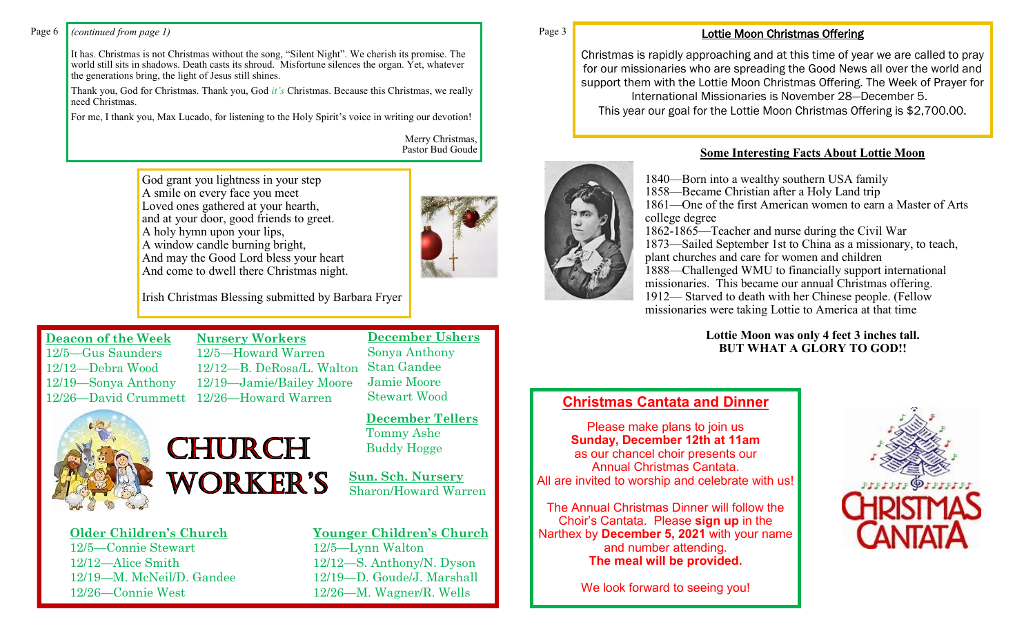#### Page 6 *(continued from page 1)* Page 3

It has. Christmas is not Christmas without the song, "Silent Night". We cherish its promise. The world still sits in shadows. Death casts its shroud. Misfortune silences the organ. Yet, whatever the generations bring, the light of Jesus still shines.

Thank you, God for Christmas. Thank you, God *it's* Christmas. Because this Christmas, we really need Christmas.

For me, I thank you, Max Lucado, for listening to the Holy Spirit's voice in writing our devotion!

Merry Christmas, Pastor Bud Goude

God grant you lightness in your step A smile on every face you meet Loved ones gathered at your hearth, and at your door, good friends to greet. A holy hymn upon your lips, A window candle burning bright, And may the Good Lord bless your heart And come to dwell there Christmas night.

> **Nursery Workers** 12/5—Howard Warren

CHURCH

**WORKER'S** 



Irish Christmas Blessing submitted by Barbara Fryer

12/12—B. DeRosa/L. Walton 12/19—Jamie/Bailey Moore

**Deacon of the Week** 12/5—Gus Saunders 12/12—Debra Wood 12/19—Sonya Anthony 12/26—David Crummett 12/26—Howard Warren



**Older Children's Church** 12/5—Connie Stewart 12/12—Alice Smith 12/19—M. McNeil/D. Gandee 12/26—Connie West

# **December Tellers** Tommy Ashe Buddy Hogge

**December Ushers**

Sonya Anthony Stan Gandee Jamie Moore Stewart Wood

**Sun. Sch. Nursery** Sharon/Howard Warren

# **Younger Children's Church** 12/5—Lynn Walton

12/12—S. Anthony/N. Dyson 12/19—D. Goude/J. Marshall 12/26—M. Wagner/R. Wells

#### Lottie Moon Christmas Offering

Christmas is rapidly approaching and at this time of year we are called to pray for our missionaries who are spreading the Good News all over the world and support them with the Lottie Moon Christmas Offering. The Week of Prayer for International Missionaries is November 28—December 5. This year our goal for the Lottie Moon Christmas Offering is \$2,700.00.



## **Some Interesting Facts About Lottie Moon**

—Born into a wealthy southern USA family —Became Christian after a Holy Land trip —One of the first American women to earn a Master of Arts college degree -1865—Teacher and nurse during the Civil War —Sailed September 1st to China as a missionary, to teach, plant churches and care for women and children —Challenged WMU to financially support international missionaries. This became our annual Christmas offering. — Starved to death with her Chinese people. (Fellow missionaries were taking Lottie to America at that time

#### **Lottie Moon was only 4 feet 3 inches tall. BUT WHAT A GLORY TO GOD!!**

# **Christmas Cantata and Dinner**

Please make plans to join us **Sunday, December 12th at 11am**  as our chancel choir presents our Annual Christmas Cantata. All are invited to worship and celebrate with us!

The Annual Christmas Dinner will follow the Choir's Cantata. Please **sign up** in the Narthex by **December 5, 2021** with your name and number attending. **The meal will be provided.**

We look forward to seeing you!